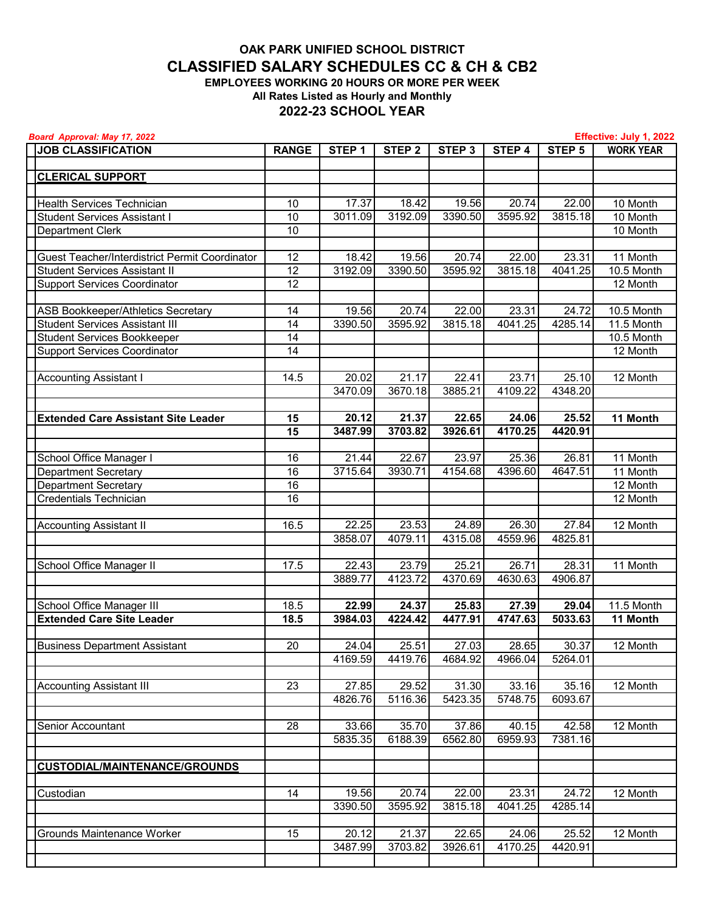## **All Rates Listed as Hourly and Monthly 2022-23 SCHOOL YEAR OAK PARK UNIFIED SCHOOL DISTRICT CLASSIFIED SALARY SCHEDULES CC & CH & CB2 EMPLOYEES WORKING 20 HOURS OR MORE PER WEEK**

| Board Approval: May 17, 2022<br>Effective: July 1, 2022 |              |                   |                   |                   |         |                   |                  |
|---------------------------------------------------------|--------------|-------------------|-------------------|-------------------|---------|-------------------|------------------|
| <b>JOB CLASSIFICATION</b>                               | <b>RANGE</b> | STEP <sub>1</sub> | STEP <sub>2</sub> | STEP <sub>3</sub> | STEP 4  | STEP <sub>5</sub> | <b>WORK YEAR</b> |
|                                                         |              |                   |                   |                   |         |                   |                  |
| <b>CLERICAL SUPPORT</b>                                 |              |                   |                   |                   |         |                   |                  |
|                                                         |              |                   |                   |                   |         |                   |                  |
| Health Services Technician                              | 10           | 17.37             | 18.42             | 19.56             | 20.74   | 22.00             | 10 Month         |
| <b>Student Services Assistant I</b>                     | 10           | 3011.09           | 3192.09           | 3390.50           | 3595.92 | 3815.18           | 10 Month         |
| Department Clerk                                        | 10           |                   |                   |                   |         |                   | 10 Month         |
|                                                         |              |                   |                   |                   |         |                   |                  |
| Guest Teacher/Interdistrict Permit Coordinator          | 12           | 18.42             | 19.56             | 20.74             | 22.00   | 23.31             | 11 Month         |
| <b>Student Services Assistant II</b>                    | 12           | 3192.09           | 3390.50           | 3595.92           | 3815.18 | 4041.25           | 10.5 Month       |
|                                                         | 12           |                   |                   |                   |         |                   |                  |
| <b>Support Services Coordinator</b>                     |              |                   |                   |                   |         |                   | 12 Month         |
|                                                         |              |                   |                   |                   |         |                   |                  |
| <b>ASB Bookkeeper/Athletics Secretary</b>               | 14           | 19.56             | 20.74             | 22.00             | 23.31   | 24.72             | 10.5 Month       |
| <b>Student Services Assistant III</b>                   | 14           | 3390.50           | 3595.92           | 3815.18           | 4041.25 | 4285.14           | 11.5 Month       |
| <b>Student Services Bookkeeper</b>                      | 14           |                   |                   |                   |         |                   | 10.5 Month       |
| <b>Support Services Coordinator</b>                     | 14           |                   |                   |                   |         |                   | 12 Month         |
|                                                         |              |                   |                   |                   |         |                   |                  |
| <b>Accounting Assistant I</b>                           | 14.5         | 20.02             | 21.17             | 22.41             | 23.71   | 25.10             | 12 Month         |
|                                                         |              | 3470.09           | 3670.18           | 3885.21           | 4109.22 | 4348.20           |                  |
|                                                         |              |                   |                   |                   |         |                   |                  |
| <b>Extended Care Assistant Site Leader</b>              | 15           | 20.12             | 21.37             | 22.65             | 24.06   | 25.52             | 11 Month         |
|                                                         | 15           | 3487.99           | 3703.82           | 3926.61           | 4170.25 | 4420.91           |                  |
|                                                         |              |                   |                   |                   |         |                   |                  |
| School Office Manager I                                 | 16           | 21.44             | 22.67             | 23.97             | 25.36   | 26.81             | 11 Month         |
| <b>Department Secretary</b>                             | 16           | 3715.64           | 3930.71           | 4154.68           | 4396.60 | 4647.51           | 11 Month         |
| <b>Department Secretary</b>                             | 16           |                   |                   |                   |         |                   | 12 Month         |
| Credentials Technician                                  | 16           |                   |                   |                   |         |                   | 12 Month         |
|                                                         |              |                   |                   |                   |         |                   |                  |
| <b>Accounting Assistant II</b>                          | 16.5         | 22.25             | 23.53             | 24.89             | 26.30   | 27.84             | 12 Month         |
|                                                         |              | 3858.07           | 4079.11           | 4315.08           | 4559.96 | 4825.81           |                  |
|                                                         |              |                   |                   |                   |         |                   |                  |
|                                                         |              |                   |                   |                   |         |                   |                  |
| School Office Manager II                                | 17.5         | 22.43             | 23.79             | 25.21             | 26.71   | 28.31             | 11 Month         |
|                                                         |              | 3889.77           | 4123.72           | 4370.69           | 4630.63 | 4906.87           |                  |
|                                                         |              |                   |                   |                   |         |                   |                  |
| School Office Manager III                               | 18.5         | 22.99             | 24.37             | 25.83             | 27.39   | 29.04             | 11.5 Month       |
| <b>Extended Care Site Leader</b>                        | 18.5         | 3984.03           | 4224.42           | 4477.91           | 4747.63 | 5033.63           | 11 Month         |
|                                                         |              |                   |                   |                   |         |                   |                  |
| <b>Business Department Assistant</b>                    | 20           | 24.04             | 25.51             | 27.03             | 28.65   | 30.37             | 12 Month         |
|                                                         |              | 4169.59           | 4419.76           | 4684.92           | 4966.04 | 5264.01           |                  |
|                                                         |              |                   |                   |                   |         |                   |                  |
| <b>Accounting Assistant III</b>                         | 23           | 27.85             | 29.52             | 31.30             | 33.16   | 35.16             | 12 Month         |
|                                                         |              | 4826.76           | 5116.36           | 5423.35           | 5748.75 | 6093.67           |                  |
|                                                         |              |                   |                   |                   |         |                   |                  |
| Senior Accountant                                       | 28           | 33.66             | 35.70             | 37.86             | 40.15   | 42.58             | 12 Month         |
|                                                         |              | 5835.35           | 6188.39           | 6562.80           | 6959.93 | 7381.16           |                  |
|                                                         |              |                   |                   |                   |         |                   |                  |
| <b>CUSTODIAL/MAINTENANCE/GROUNDS</b>                    |              |                   |                   |                   |         |                   |                  |
|                                                         |              |                   |                   |                   |         |                   |                  |
| Custodian                                               | 14           | 19.56             | 20.74             | 22.00             | 23.31   | 24.72             | 12 Month         |
|                                                         |              | 3390.50           | 3595.92           | 3815.18           | 4041.25 | 4285.14           |                  |
|                                                         |              |                   |                   |                   |         |                   |                  |
|                                                         |              |                   |                   |                   |         |                   |                  |
| Grounds Maintenance Worker                              | 15           | 20.12             | 21.37             | 22.65             | 24.06   | 25.52             | 12 Month         |
|                                                         |              | 3487.99           | 3703.82           | 3926.61           | 4170.25 | 4420.91           |                  |
|                                                         |              |                   |                   |                   |         |                   |                  |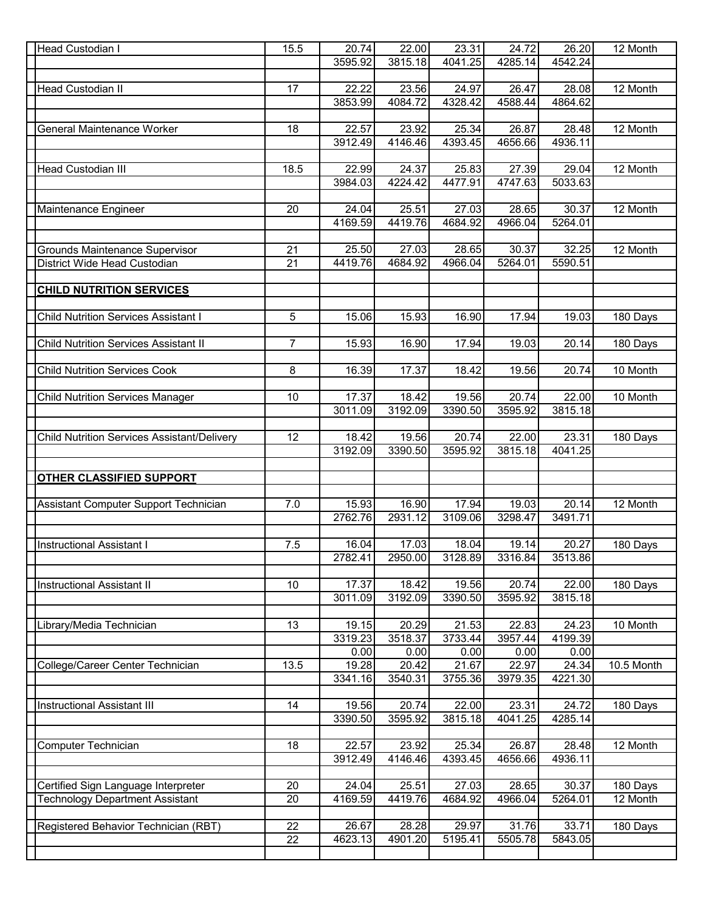| Head Custodian I                                   | 15.5 | 20.74   | 22.00   | 23.31   | 24.72   | 26.20   | 12 Month   |
|----------------------------------------------------|------|---------|---------|---------|---------|---------|------------|
|                                                    |      | 3595.92 | 3815.18 | 4041.25 | 4285.14 | 4542.24 |            |
|                                                    |      |         |         |         |         |         |            |
| Head Custodian II                                  | 17   | 22.22   | 23.56   | 24.97   | 26.47   | 28.08   | 12 Month   |
|                                                    |      | 3853.99 | 4084.72 | 4328.42 | 4588.44 | 4864.62 |            |
|                                                    |      |         |         |         |         |         |            |
|                                                    |      |         |         |         |         |         |            |
| General Maintenance Worker                         | 18   | 22.57   | 23.92   | 25.34   | 26.87   | 28.48   | 12 Month   |
|                                                    |      | 3912.49 | 4146.46 | 4393.45 | 4656.66 | 4936.11 |            |
|                                                    |      |         |         |         |         |         |            |
| <b>Head Custodian III</b>                          | 18.5 | 22.99   | 24.37   | 25.83   | 27.39   | 29.04   | 12 Month   |
|                                                    |      | 3984.03 | 4224.42 | 4477.91 | 4747.63 | 5033.63 |            |
|                                                    |      |         |         |         |         |         |            |
| Maintenance Engineer                               | 20   | 24.04   | 25.51   | 27.03   | 28.65   | 30.37   | 12 Month   |
|                                                    |      | 4169.59 | 4419.76 | 4684.92 | 4966.04 | 5264.01 |            |
|                                                    |      |         |         |         |         |         |            |
|                                                    |      |         |         |         |         |         |            |
| <b>Grounds Maintenance Supervisor</b>              | 21   | 25.50   | 27.03   | 28.65   | 30.37   | 32.25   | 12 Month   |
| District Wide Head Custodian                       | 21   | 4419.76 | 4684.92 | 4966.04 | 5264.01 | 5590.51 |            |
|                                                    |      |         |         |         |         |         |            |
| <b>CHILD NUTRITION SERVICES</b>                    |      |         |         |         |         |         |            |
|                                                    |      |         |         |         |         |         |            |
| <b>Child Nutrition Services Assistant I</b>        | 5    | 15.06   | 15.93   | 16.90   | 17.94   | 19.03   | 180 Days   |
|                                                    |      |         |         |         |         |         |            |
|                                                    |      |         |         |         |         |         |            |
| <b>Child Nutrition Services Assistant II</b>       | 7    | 15.93   | 16.90   | 17.94   | 19.03   | 20.14   | 180 Days   |
|                                                    |      |         |         |         |         |         |            |
| <b>Child Nutrition Services Cook</b>               | 8    | 16.39   | 17.37   | 18.42   | 19.56   | 20.74   | 10 Month   |
|                                                    |      |         |         |         |         |         |            |
| <b>Child Nutrition Services Manager</b>            | 10   | 17.37   | 18.42   | 19.56   | 20.74   | 22.00   | 10 Month   |
|                                                    |      | 3011.09 | 3192.09 | 3390.50 | 3595.92 | 3815.18 |            |
|                                                    |      |         |         |         |         |         |            |
|                                                    |      |         |         |         |         |         |            |
| <b>Child Nutrition Services Assistant/Delivery</b> | 12   | 18.42   | 19.56   | 20.74   | 22.00   | 23.31   | 180 Days   |
|                                                    |      | 3192.09 | 3390.50 | 3595.92 | 3815.18 | 4041.25 |            |
|                                                    |      |         |         |         |         |         |            |
| <b>OTHER CLASSIFIED SUPPORT</b>                    |      |         |         |         |         |         |            |
|                                                    |      |         |         |         |         |         |            |
| Assistant Computer Support Technician              | 7.0  | 15.93   | 16.90   | 17.94   | 19.03   | 20.14   | 12 Month   |
|                                                    |      | 2762.76 | 2931.12 | 3109.06 | 3298.47 | 3491.71 |            |
|                                                    |      |         |         |         |         |         |            |
|                                                    |      |         |         |         |         |         |            |
| <b>Instructional Assistant I</b>                   | 7.5  | 16.04   | 17.03   | 18.04   | 19.14   | 20.27   | 180 Days   |
|                                                    |      | 2782.41 | 2950.00 | 3128.89 | 3316.84 | 3513.86 |            |
|                                                    |      |         |         |         |         |         |            |
| <b>Instructional Assistant II</b>                  | 10   | 17.37   | 18.42   | 19.56   | 20.74   | 22.00   | 180 Days   |
|                                                    |      | 3011.09 | 3192.09 | 3390.50 | 3595.92 | 3815.18 |            |
|                                                    |      |         |         |         |         |         |            |
| Library/Media Technician                           | 13   | 19.15   | 20.29   | 21.53   | 22.83   | 24.23   | 10 Month   |
|                                                    |      | 3319.23 | 3518.37 | 3733.44 | 3957.44 | 4199.39 |            |
|                                                    |      |         |         |         |         |         |            |
|                                                    |      | 0.00    | 0.00    | 0.00    | 0.00    | 0.00    |            |
| College/Career Center Technician                   | 13.5 | 19.28   | 20.42   | 21.67   | 22.97   | 24.34   | 10.5 Month |
|                                                    |      | 3341.16 | 3540.31 | 3755.36 | 3979.35 | 4221.30 |            |
|                                                    |      |         |         |         |         |         |            |
| <b>Instructional Assistant III</b>                 | 14   | 19.56   | 20.74   | 22.00   | 23.31   | 24.72   | 180 Days   |
|                                                    |      | 3390.50 | 3595.92 | 3815.18 | 4041.25 | 4285.14 |            |
|                                                    |      |         |         |         |         |         |            |
| Computer Technician                                | 18   | 22.57   | 23.92   | 25.34   | 26.87   | 28.48   | 12 Month   |
|                                                    |      | 3912.49 | 4146.46 |         | 4656.66 | 4936.11 |            |
|                                                    |      |         |         | 4393.45 |         |         |            |
|                                                    |      |         |         |         |         |         |            |
| Certified Sign Language Interpreter                | 20   | 24.04   | 25.51   | 27.03   | 28.65   | 30.37   | 180 Days   |
| <b>Technology Department Assistant</b>             | 20   | 4169.59 | 4419.76 | 4684.92 | 4966.04 | 5264.01 | 12 Month   |
|                                                    |      |         |         |         |         |         |            |
| Registered Behavior Technician (RBT)               | 22   | 26.67   | 28.28   | 29.97   | 31.76   | 33.71   | 180 Days   |
|                                                    | 22   | 4623.13 | 4901.20 | 5195.41 | 5505.78 | 5843.05 |            |
|                                                    |      |         |         |         |         |         |            |
|                                                    |      |         |         |         |         |         |            |